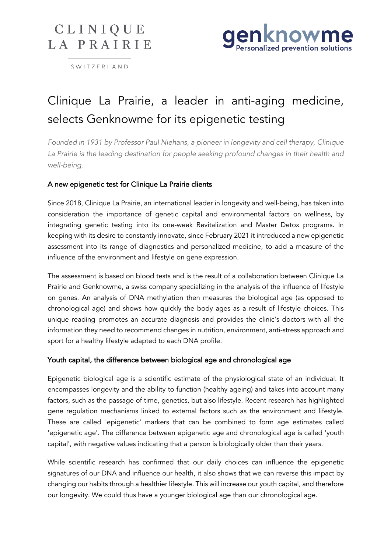# CLINIQUE LA PRAIRIE



SWITZERLAND

# Clinique La Prairie, a leader in anti-aging medicine, selects Genknowme for its epigenetic testing

*Founded in 1931 by Professor Paul Niehans, a pioneer in longevity and cell therapy, Clinique La Prairie is the leading destination for people seeking profound changes in their health and well-being.* 

## A new epigenetic test for Clinique La Prairie clients

Since 2018, Clinique La Prairie, an international leader in longevity and well-being, has taken into consideration the importance of genetic capital and environmental factors on wellness, by integrating genetic testing into its one-week Revitalization and Master Detox programs. In keeping with its desire to constantly innovate, since February 2021 it introduced a new epigenetic assessment into its range of diagnostics and personalized medicine, to add a measure of the influence of the environment and lifestyle on gene expression.

The assessment is based on blood tests and is the result of a collaboration between Clinique La Prairie and Genknowme, a swiss company specializing in the analysis of the influence of lifestyle on genes. An analysis of DNA methylation then measures the biological age (as opposed to chronological age) and shows how quickly the body ages as a result of lifestyle choices. This unique reading promotes an accurate diagnosis and provides the clinic's doctors with all the information they need to recommend changes in nutrition, environment, anti-stress approach and sport for a healthy lifestyle adapted to each DNA profile.

### Youth capital, the difference between biological age and chronological age

Epigenetic biological age is a scientific estimate of the physiological state of an individual. It encompasses longevity and the ability to function (healthy ageing) and takes into account many factors, such as the passage of time, genetics, but also lifestyle. Recent research has highlighted gene regulation mechanisms linked to external factors such as the environment and lifestyle. These are called 'epigenetic' markers that can be combined to form age estimates called 'epigenetic age'. The difference between epigenetic age and chronological age is called 'youth capital', with negative values indicating that a person is biologically older than their years.

While scientific research has confirmed that our daily choices can influence the epigenetic signatures of our DNA and influence our health, it also shows that we can reverse this impact by changing our habits through a healthier lifestyle. This will increase our youth capital, and therefore our longevity. We could thus have a younger biological age than our chronological age.